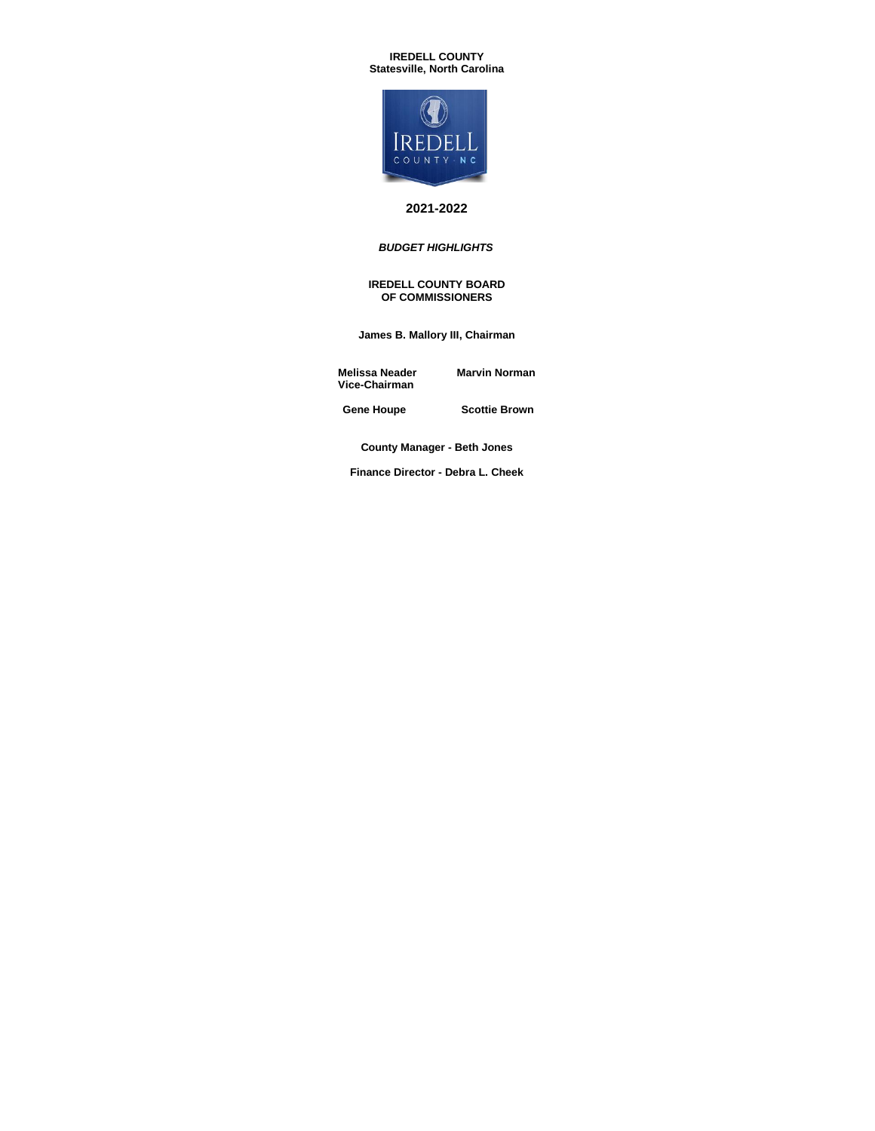### **IREDELL COUNTY Statesville, North Carolina**



# **2021-2022**

## *BUDGET HIGHLIGHTS*

#### **IREDELL COUNTY BOARD OF COMMISSIONERS**

**James B. Mallory III, Chairman**

**Melissa Neader Marvin Norman Vice-Chairman**

 **Gene Houpe Scottie Brown**

**County Manager - Beth Jones**

**Finance Director - Debra L. Cheek**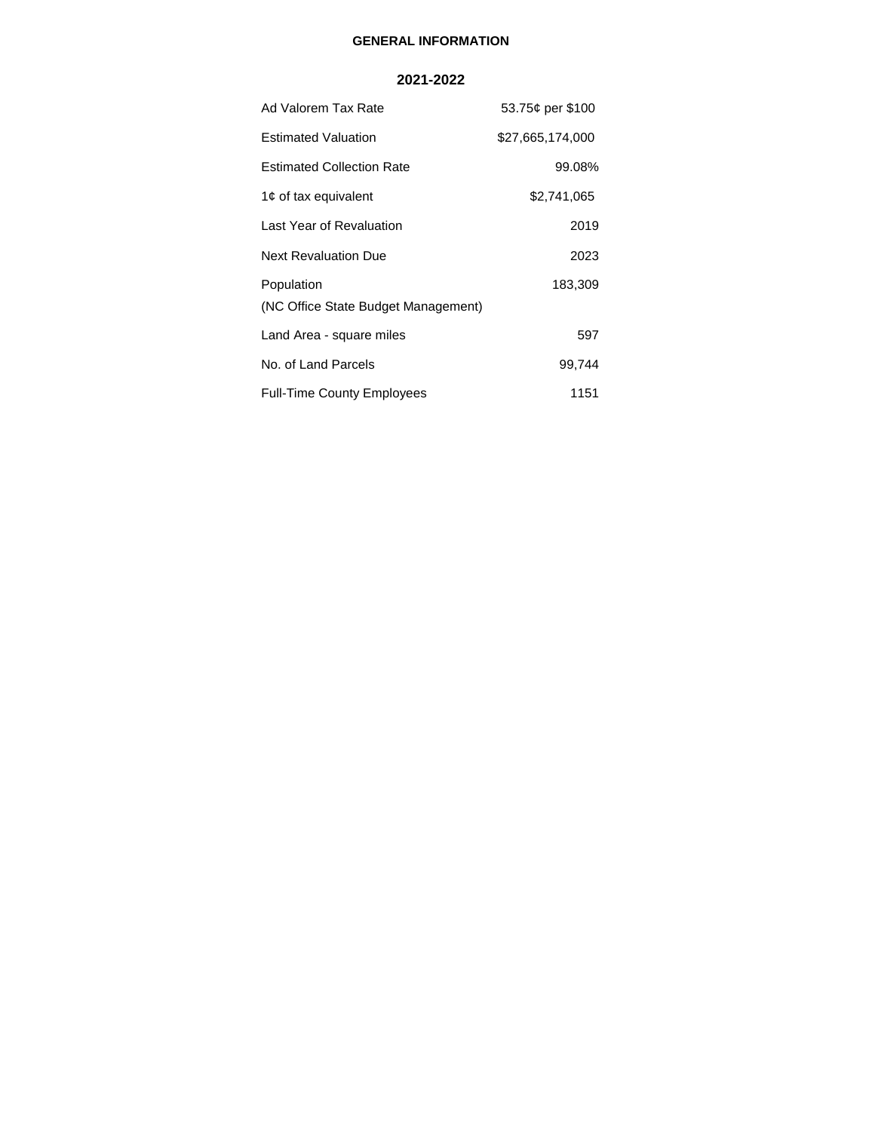# **GENERAL INFORMATION**

# **2021-2022**

| Ad Valorem Tax Rate                               | 53.75¢ per \$100 |
|---------------------------------------------------|------------------|
| <b>Estimated Valuation</b>                        | \$27,665,174,000 |
| <b>Estimated Collection Rate</b>                  | 99.08%           |
| 1¢ of tax equivalent                              | \$2,741,065      |
| Last Year of Revaluation                          | 2019             |
| <b>Next Revaluation Due</b>                       | 2023             |
| Population<br>(NC Office State Budget Management) | 183,309          |
| Land Area - square miles                          | 597              |
| No. of Land Parcels                               | 99,744           |
| <b>Full-Time County Employees</b>                 | 1151             |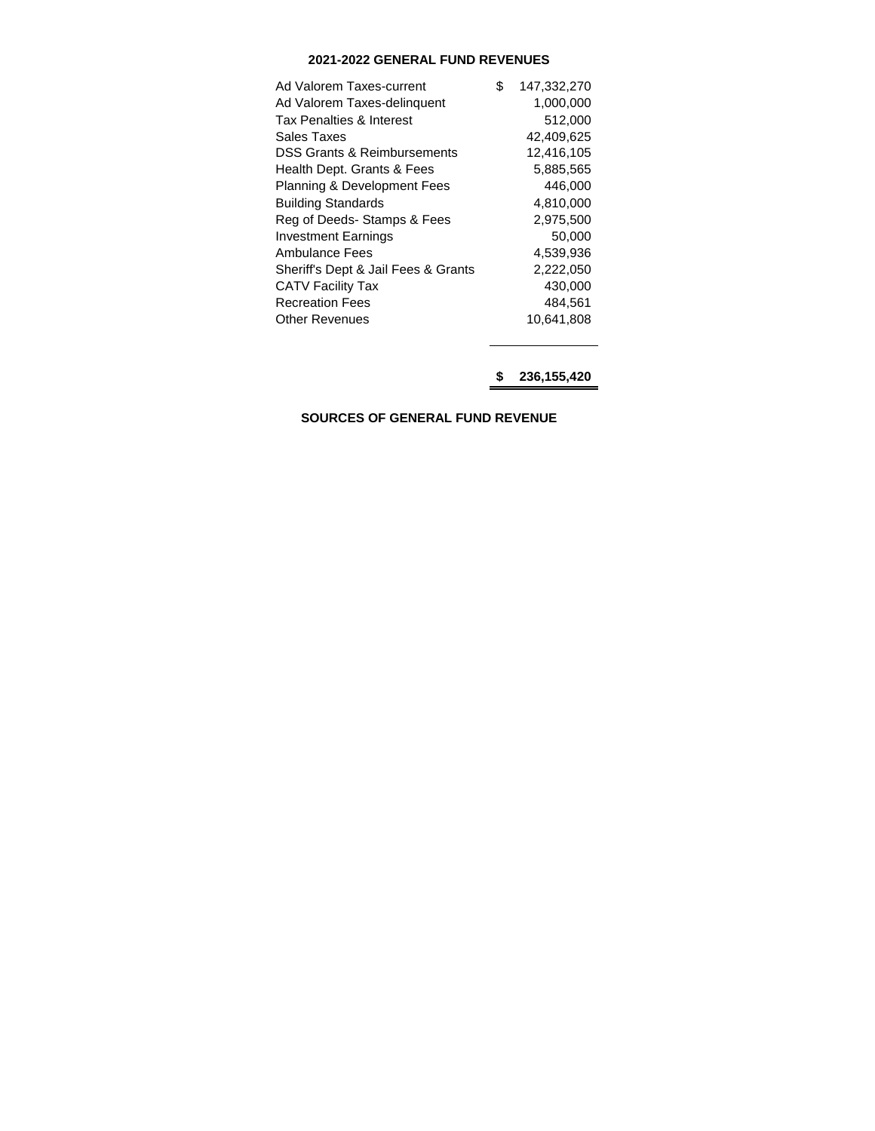# **2021-2022 GENERAL FUND REVENUES**

| Ad Valorem Taxes-current               | \$<br>147,332,270 |
|----------------------------------------|-------------------|
| Ad Valorem Taxes-delinquent            | 1,000,000         |
| Tax Penalties & Interest               | 512,000           |
| Sales Taxes                            | 42,409,625        |
| DSS Grants & Reimbursements            | 12,416,105        |
| Health Dept. Grants & Fees             | 5,885,565         |
| <b>Planning &amp; Development Fees</b> | 446,000           |
| <b>Building Standards</b>              | 4,810,000         |
| Reg of Deeds-Stamps & Fees             | 2,975,500         |
| <b>Investment Earnings</b>             | 50,000            |
| Ambulance Fees                         | 4,539,936         |
| Sheriff's Dept & Jail Fees & Grants    | 2,222,050         |
| <b>CATV Facility Tax</b>               | 430,000           |
| <b>Recreation Fees</b>                 | 484,561           |
| Other Revenues                         | 10,641,808        |

**\$ 236,155,420**

**SOURCES OF GENERAL FUND REVENUE**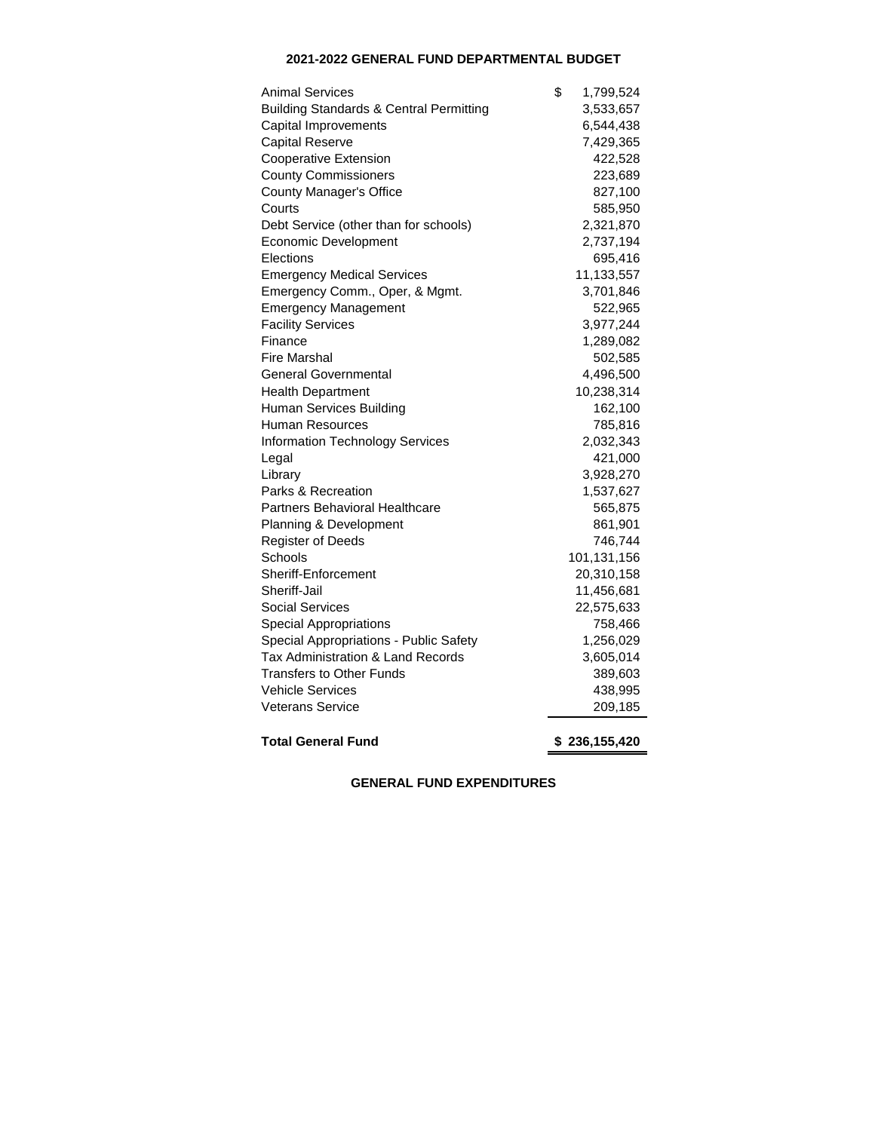# **2021-2022 GENERAL FUND DEPARTMENTAL BUDGET**

| <b>Animal Services</b>                             | \$<br>1,799,524 |
|----------------------------------------------------|-----------------|
| <b>Building Standards &amp; Central Permitting</b> | 3,533,657       |
| Capital Improvements                               | 6,544,438       |
| <b>Capital Reserve</b>                             | 7,429,365       |
| <b>Cooperative Extension</b>                       | 422,528         |
| <b>County Commissioners</b>                        | 223,689         |
| <b>County Manager's Office</b>                     | 827,100         |
| Courts                                             | 585,950         |
| Debt Service (other than for schools)              | 2,321,870       |
| <b>Economic Development</b>                        | 2,737,194       |
| Elections                                          | 695,416         |
| <b>Emergency Medical Services</b>                  | 11,133,557      |
| Emergency Comm., Oper, & Mgmt.                     | 3,701,846       |
| <b>Emergency Management</b>                        | 522,965         |
| <b>Facility Services</b>                           | 3,977,244       |
| Finance                                            | 1,289,082       |
| <b>Fire Marshal</b>                                | 502,585         |
| <b>General Governmental</b>                        | 4,496,500       |
| <b>Health Department</b>                           | 10,238,314      |
| Human Services Building                            | 162,100         |
| Human Resources                                    | 785,816         |
| <b>Information Technology Services</b>             | 2,032,343       |
| Legal                                              | 421,000         |
| Library                                            | 3,928,270       |
| Parks & Recreation                                 | 1,537,627       |
| Partners Behavioral Healthcare                     | 565,875         |
| Planning & Development                             | 861,901         |
| Register of Deeds                                  | 746,744         |
| Schools                                            | 101,131,156     |
| Sheriff-Enforcement                                | 20,310,158      |
| Sheriff-Jail                                       | 11,456,681      |
| <b>Social Services</b>                             | 22,575,633      |
| <b>Special Appropriations</b>                      | 758,466         |
| Special Appropriations - Public Safety             | 1,256,029       |
| Tax Administration & Land Records                  | 3,605,014       |
| <b>Transfers to Other Funds</b>                    | 389,603         |
| <b>Vehicle Services</b>                            | 438,995         |
| <b>Veterans Service</b>                            | 209,185         |
| <b>Total General Fund</b>                          | \$236,155,420   |

**GENERAL FUND EXPENDITURES**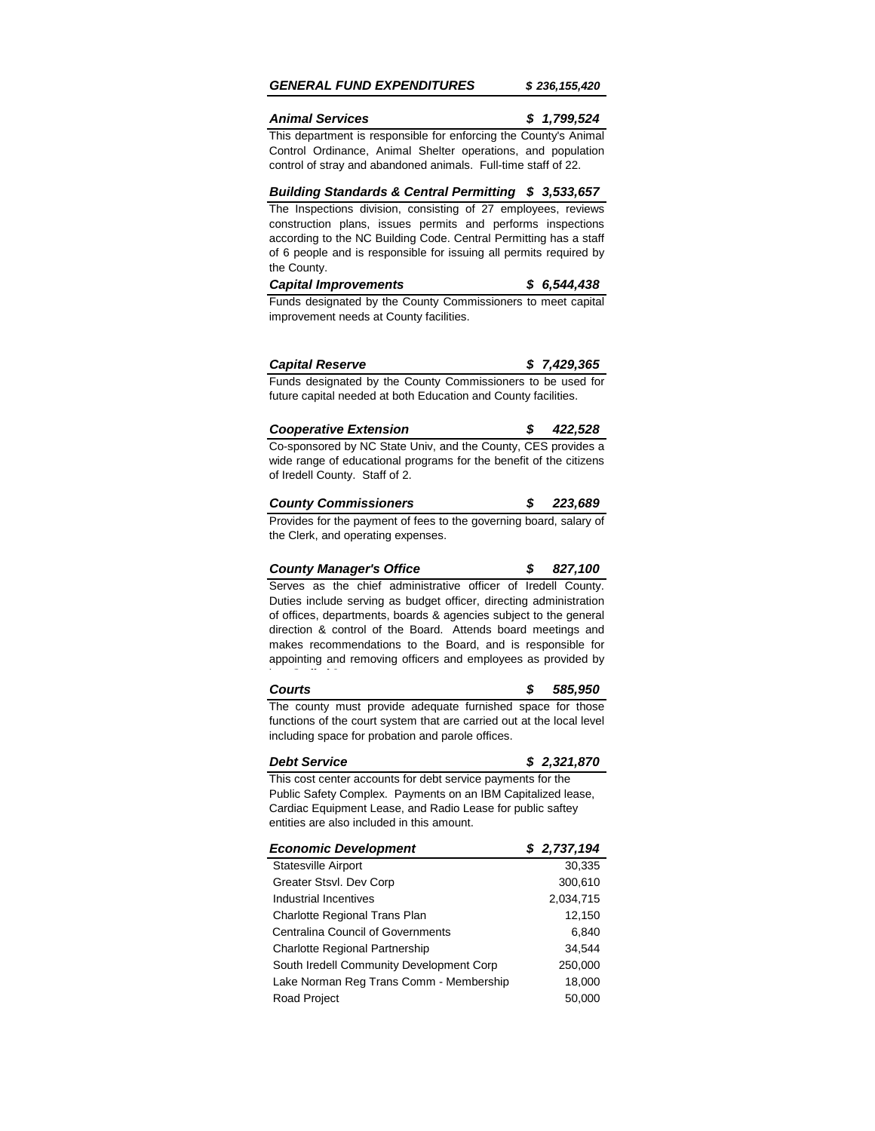## *GENERAL FUND EXPENDITURES \$ 236,155,420*

## *Animal Services \$ 1,799,524*

This department is responsible for enforcing the County's Animal Control Ordinance, Animal Shelter operations, and population control of stray and abandoned animals. Full-time staff of 22.

### *Building Standards & Central Permitting \$ 3,533,657*

The Inspections division, consisting of 27 employees, reviews construction plans, issues permits and performs inspections according to the NC Building Code. Central Permitting has a staff of 6 people and is responsible for issuing all permits required by the County.

| <b>Capital Improvements</b> |  | \$6,544,438 |
|-----------------------------|--|-------------|
|-----------------------------|--|-------------|

Funds designated by the County Commissioners to meet capital improvement needs at County facilities.

| <b>Capital Reserve</b> | \$7,429,365 |
|------------------------|-------------|
|------------------------|-------------|

Funds designated by the County Commissioners to be used for future capital needed at both Education and County facilities.

| <b>Cooperative Extension</b> |  |  |  | \$422,528 |
|------------------------------|--|--|--|-----------|
|                              |  |  |  |           |

Co-sponsored by NC State Univ, and the County, CES provides a wide range of educational programs for the benefit of the citizens of Iredell County. Staff of 2.

| <b>County Commissioners</b> |  | 223,689 |
|-----------------------------|--|---------|
|-----------------------------|--|---------|

Provides for the payment of fees to the governing board, salary of the Clerk, and operating expenses.

#### *County Manager's Office \$ 827,100*

Serves as the chief administrative officer of Iredell County. Duties include serving as budget officer, directing administration of offices, departments, boards & agencies subject to the general direction & control of the Board. Attends board meetings and makes recommendations to the Board, and is responsible for appointing and removing officers and employees as provided by law. Staff of 3.

# *Courts \$ 585,950*

The county must provide adequate furnished space for those functions of the court system that are carried out at the local level including space for probation and parole offices.

### *Debt Service \$ 2,321,870*

This cost center accounts for debt service payments for the Public Safety Complex. Payments on an IBM Capitalized lease, Cardiac Equipment Lease, and Radio Lease for public saftey entities are also included in this amount.

| <b>Economic Development</b>              | \$2,737,194 |
|------------------------------------------|-------------|
| <b>Statesville Airport</b>               | 30,335      |
| Greater Stsvl. Dev Corp                  | 300,610     |
| Industrial Incentives                    | 2,034,715   |
| Charlotte Regional Trans Plan            | 12,150      |
| <b>Centralina Council of Governments</b> | 6,840       |
| <b>Charlotte Regional Partnership</b>    | 34.544      |
| South Iredell Community Development Corp | 250,000     |
| Lake Norman Reg Trans Comm - Membership  | 18,000      |
| Road Project                             | 50,000      |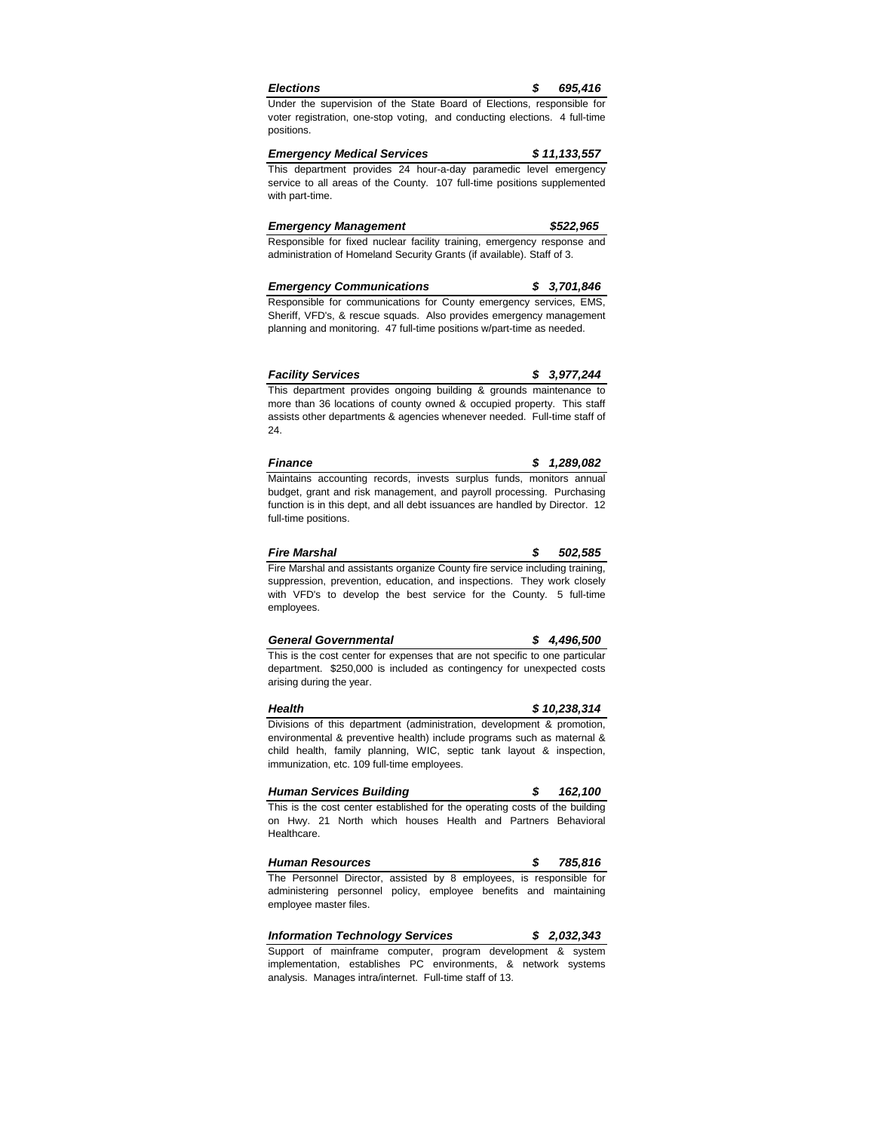| <b>Election</b> |  |
|-----------------|--|
|                 |  |
|                 |  |

Under the supervision of the State Board of Elections, responsible for voter registration, one-stop voting, and conducting elections. 4 full-time positions.

*Emergency Medical Services \$ 11,133,557* This department provides 24 hour-a-day paramedic level emergency service to all areas of the County. 107 full-time positions supplemented with part-time.

| <b>Emergency Management</b>                                           | \$522,965 |  |  |
|-----------------------------------------------------------------------|-----------|--|--|
| Responsible for fixed puclear facility training emergency response an |           |  |  |

Responsible for fixed nuclear facility training, emergency response and administration of Homeland Security Grants (if available). Staff of 3.

| <b>Emergency Communications</b> | \$3,701,846 |
|---------------------------------|-------------|
|                                 |             |

Responsible for communications for County emergency services, EMS, Sheriff, VFD's, & rescue squads. Also provides emergency management planning and monitoring. 47 full-time positions w/part-time as needed.

| <b>Facility Services</b> |  | \$3,977,244 |
|--------------------------|--|-------------|
|--------------------------|--|-------------|

This department provides ongoing building & grounds maintenance to more than 36 locations of county owned & occupied property. This staff assists other departments & agencies whenever needed. Full-time staff of 24.

| <b>Finance</b>                                                        |  | \$1,289,082 |
|-----------------------------------------------------------------------|--|-------------|
| Maintains accounting records, invests surplus funds, monitors annual  |  |             |
| budget, grant and risk management, and payroll processing. Purchasing |  |             |

budget, grant and risk management, and payroll processing. Purchasing function is in this dept, and all debt issuances are handled by Director. 12 full-time positions.

| <b>Fire Marshal</b>                                                          | 502.585 |
|------------------------------------------------------------------------------|---------|
| Fire Marshal and assistants organize County fire service including training. |         |
| suppression, prevention, education, and inspections. They work closely       |         |
| with VFD's to develop the best service for the County. 5 full-time           |         |
| employees.                                                                   |         |

| <b>General Governmental</b> | \$4,496,500 |
|-----------------------------|-------------|
|                             |             |

This is the cost center for expenses that are not specific to one particular department. \$250,000 is included as contingency for unexpected costs arising during the year.

#### *Health \$ 10,238,314* Divisions of this department (administration, development & promotion, environmental & preventive health) include programs such as maternal & child health, family planning, WIC, septic tank layout & inspection,

*Human Services Building \$ 162,100* immunization, etc. 109 full-time employees.

This is the cost center established for the operating costs of the building on Hwy. 21 North which houses Health and Partners Behavioral Healthcare.

*Human Resources \$ 785,816* The Personnel Director, assisted by 8 employees, is responsible for administering personnel policy, employee benefits and maintaining employee master files.

*Information Technology Services \$ 2,032,343* Support of mainframe computer, program development & system

implementation, establishes PC environments, & network systems analysis. Manages intra/internet. Full-time staff of 13.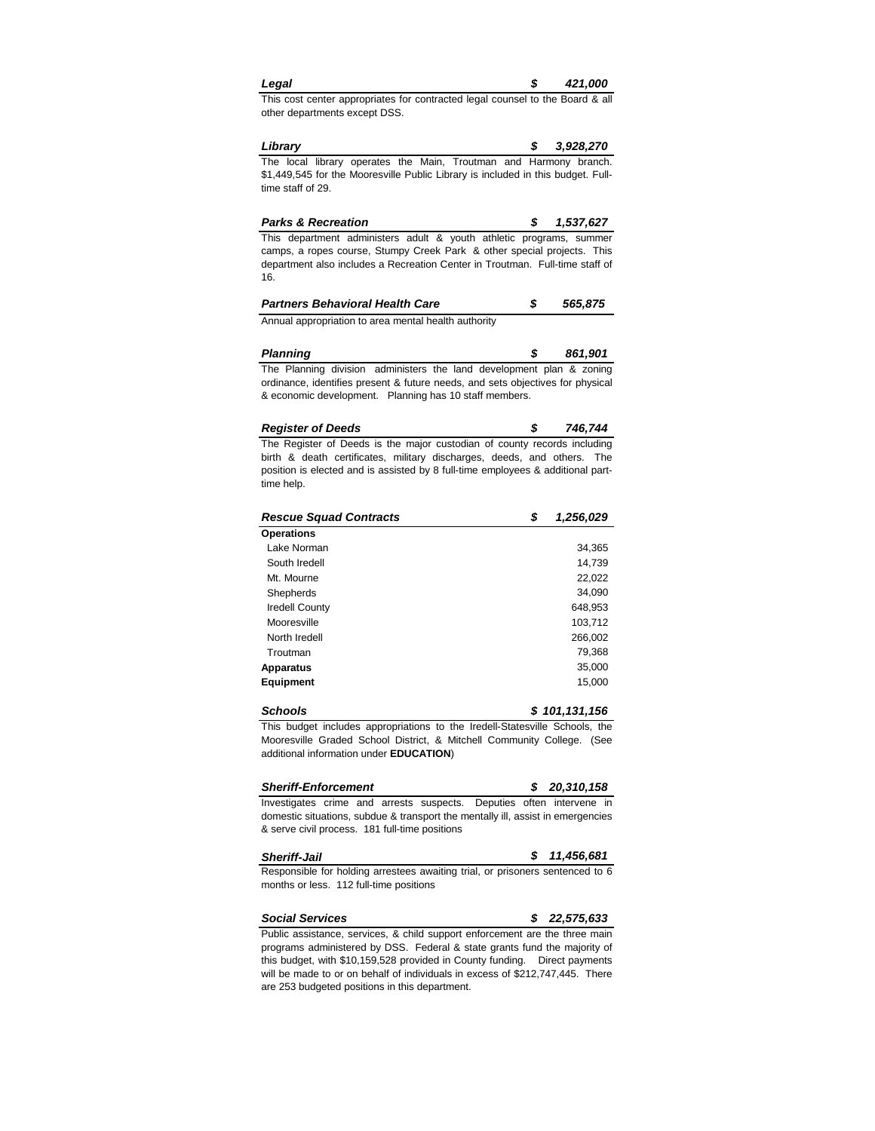| Legal | 421,000 |
|-------|---------|
|       |         |

This cost center appropriates for contracted legal counsel to the Board & all other departments except DSS.

*Library \$ 3,928,270* The local library operates the Main, Troutman and Harmony branch. \$1,449,545 for the Mooresville Public Library is included in this budget. Fulltime staff of 29.

| <b>Parks &amp; Recreation</b>                                                |  | \$1.537.627 |
|------------------------------------------------------------------------------|--|-------------|
| This department administers adult & youth athletic programs, summer          |  |             |
| camps, a ropes course, Stumpy Creek Park & other special projects. This      |  |             |
| department also includes a Recreation Center in Troutman. Full-time staff of |  |             |
| 16.                                                                          |  |             |

| <b>Partners Behavioral Health Care</b>               | 565,875 |
|------------------------------------------------------|---------|
| Annual appropriation to area mental health authority |         |

*Planning \$ 861,901* The Planning division administers the land development plan & zoning ordinance, identifies present & future needs, and sets objectives for physical & economic development. Planning has 10 staff members.

| <b>Register of Deeds</b>                                                | 746,744 |
|-------------------------------------------------------------------------|---------|
| The Register of Deeds is the major custodian of county records includin |         |

The Register of Deeds is the major custodian of county records including birth & death certificates, military discharges, deeds, and others. The position is elected and is assisted by 8 full-time employees & additional parttime help.

| <b>Rescue Squad Contracts</b> | \$<br>1,256,029 |
|-------------------------------|-----------------|
| <b>Operations</b>             |                 |
| Lake Norman                   | 34,365          |
| South Iredell                 | 14,739          |
| Mt. Mourne                    | 22,022          |
| Shepherds                     | 34,090          |
| <b>Iredell County</b>         | 648,953         |
| Mooresville                   | 103.712         |
| North Iredell                 | 266,002         |
| Troutman                      | 79,368          |
| <b>Apparatus</b>              | 35,000          |
| <b>Equipment</b>              | 15,000          |

*Schools \$ 101,131,156* This budget includes appropriations to the Iredell-Statesville Schools, the Mooresville Graded School District, & Mitchell Community College. (See additional information under **EDUCATION**)

| <b>Sheriff-Enforcement</b>                                                      |  |  |  | \$20.310.158 |  |
|---------------------------------------------------------------------------------|--|--|--|--------------|--|
| Investigates crime and arrests suspects. Deputies often intervene in            |  |  |  |              |  |
| domestic situations, subdue & transport the mentally ill, assist in emergencies |  |  |  |              |  |
| & serve civil process. 181 full-time positions                                  |  |  |  |              |  |

| <b>Sheriff-Jail</b>                                                           | \$11,456,681 |
|-------------------------------------------------------------------------------|--------------|
| Responsible for holding arrestees awaiting trial, or prisoners sentenced to 6 |              |

months or less. 112 full-time positions

*Social Services \$ 22,575,633* Public assistance, services, & child support enforcement are the three main programs administered by DSS. Federal & state grants fund the majority of this budget, with \$10,159,528 provided in County funding. Direct payments will be made to or on behalf of individuals in excess of \$212,747,445. There

are 253 budgeted positions in this department.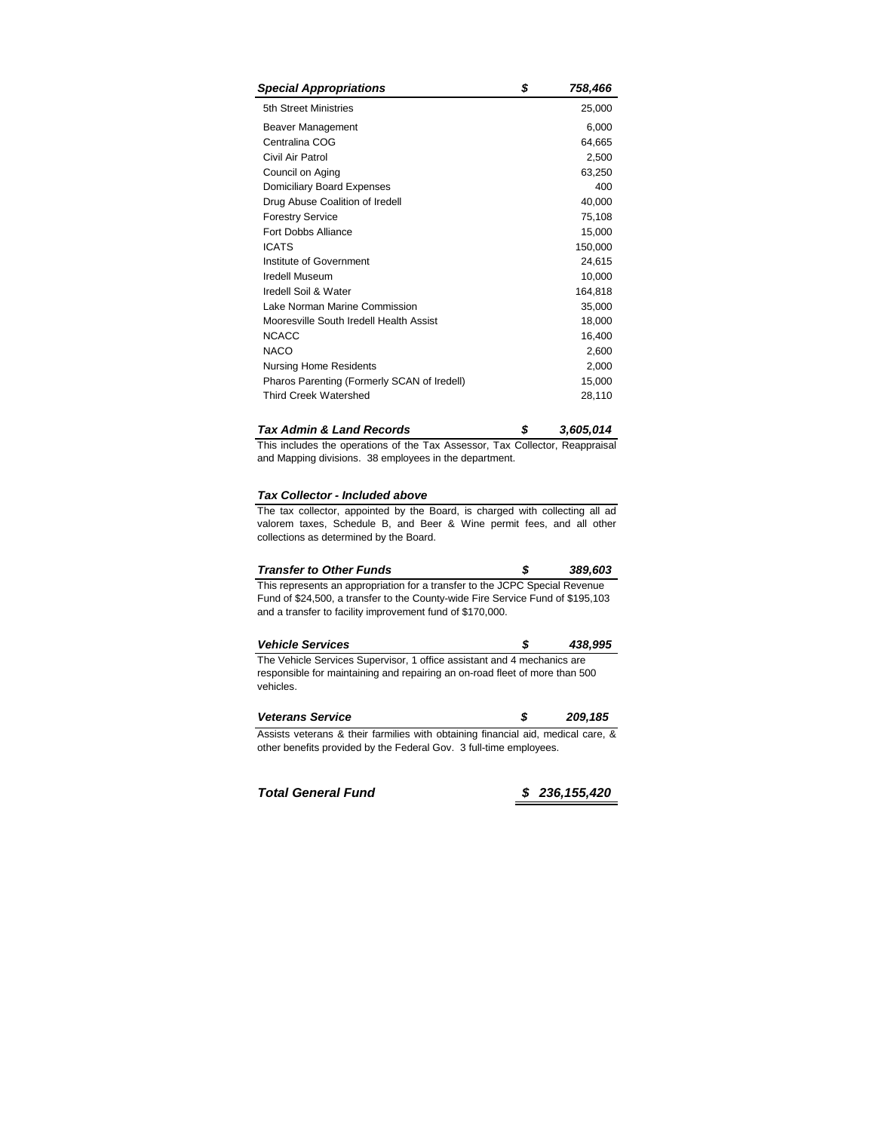| <b>Special Appropriations</b>               | \$<br>758,466 |
|---------------------------------------------|---------------|
| 5th Street Ministries                       | 25,000        |
| Beaver Management                           | 6,000         |
| Centralina COG                              | 64,665        |
| Civil Air Patrol                            | 2,500         |
| Council on Aging                            | 63,250        |
| Domiciliary Board Expenses                  | 400           |
| Drug Abuse Coalition of Iredell             | 40,000        |
| <b>Forestry Service</b>                     | 75,108        |
| Fort Dobbs Alliance                         | 15,000        |
| <b>ICATS</b>                                | 150,000       |
| Institute of Government                     | 24,615        |
| <b>Iredell Museum</b>                       | 10,000        |
| Iredell Soil & Water                        | 164,818       |
| Lake Norman Marine Commission               | 35,000        |
| Mooresville South Iredell Health Assist     | 18,000        |
| <b>NCACC</b>                                | 16,400        |
| <b>NACO</b>                                 | 2,600         |
| Nursing Home Residents                      | 2,000         |
| Pharos Parenting (Formerly SCAN of Iredell) | 15,000        |
| <b>Third Creek Watershed</b>                | 28,110        |
|                                             |               |

| <b>Tax Admin &amp; Land Records</b> |  | 3,605,014 |
|-------------------------------------|--|-----------|
|-------------------------------------|--|-----------|

This includes the operations of the Tax Assessor, Tax Collector, Reappraisal and Mapping divisions. 38 employees in the department.

# *Tax Collector - Included above*

The tax collector, appointed by the Board, is charged with collecting all ad valorem taxes, Schedule B, and Beer & Wine permit fees, and all other collections as determined by the Board.

| <b>Transfer to Other Funds</b> |  | 389,603 |
|--------------------------------|--|---------|
|--------------------------------|--|---------|

This represents an appropriation for a transfer to the JCPC Special Revenue Fund of \$24,500, a transfer to the County-wide Fire Service Fund of \$195,103 and a transfer to facility improvement fund of \$170,000.

| <b>Vehicle Services</b>                                                 | 438,995 |
|-------------------------------------------------------------------------|---------|
| The Vehicle Services Supervisor, 1 office assistant and 4 mechanics are |         |

responsible for maintaining and repairing an on-road fleet of more than 500 vehicles.

| <b>Veterans Service</b>                                                          | 209.185 |
|----------------------------------------------------------------------------------|---------|
| Assists veterans & their farmilies with obtaining financial aid, medical care, & |         |
| other benefits provided by the Federal Gov. 3 full-time employees.               |         |

*Total General Fund \$ 236,155,420*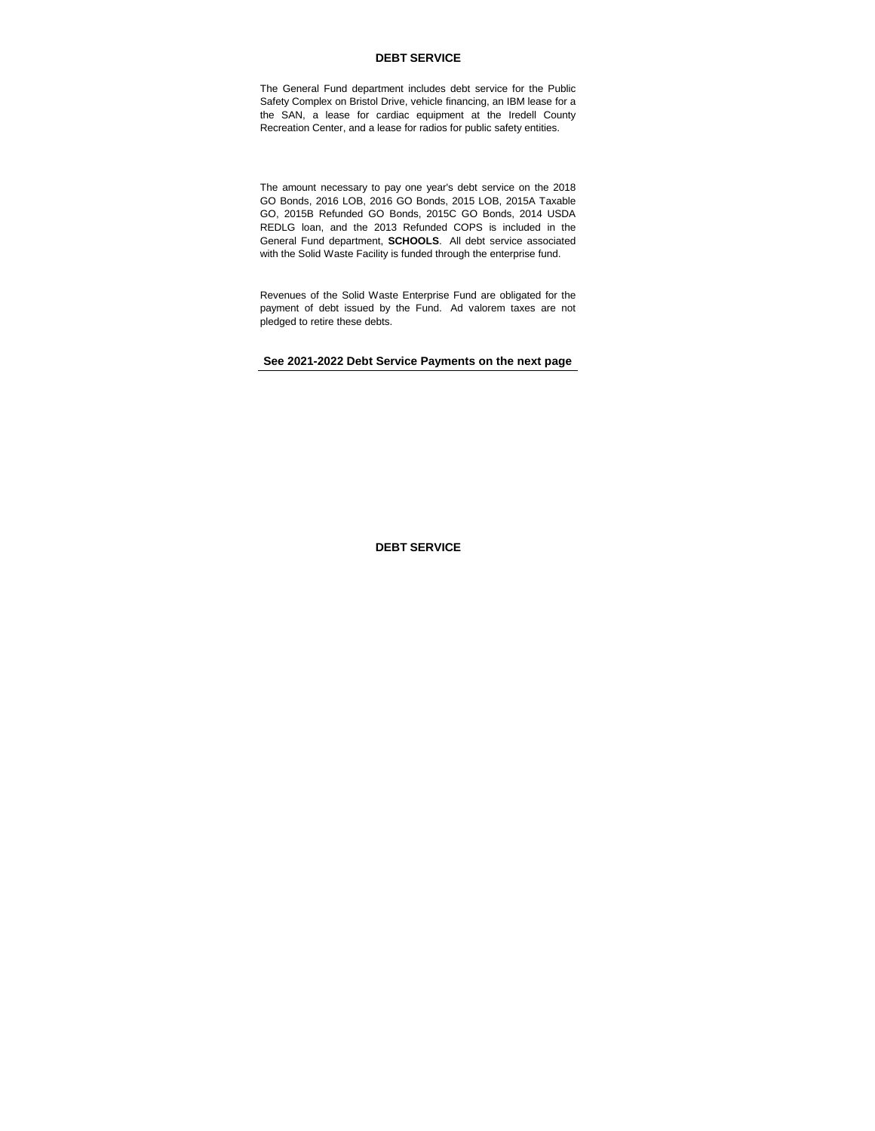## **DEBT SERVICE**

The General Fund department includes debt service for the Public Safety Complex on Bristol Drive, vehicle financing, an IBM lease for a the SAN, a lease for cardiac equipment at the Iredell County Recreation Center, and a lease for radios for public safety entities.

The amount necessary to pay one year's debt service on the 2018 GO Bonds, 2016 LOB, 2016 GO Bonds, 2015 LOB, 2015A Taxable GO, 2015B Refunded GO Bonds, 2015C GO Bonds, 2014 USDA REDLG loan, and the 2013 Refunded COPS is included in the General Fund department, **SCHOOLS**. All debt service associated with the Solid Waste Facility is funded through the enterprise fund.

Revenues of the Solid Waste Enterprise Fund are obligated for the payment of debt issued by the Fund. Ad valorem taxes are not pledged to retire these debts.

**See 2021-2022 Debt Service Payments on the next page**

**DEBT SERVICE**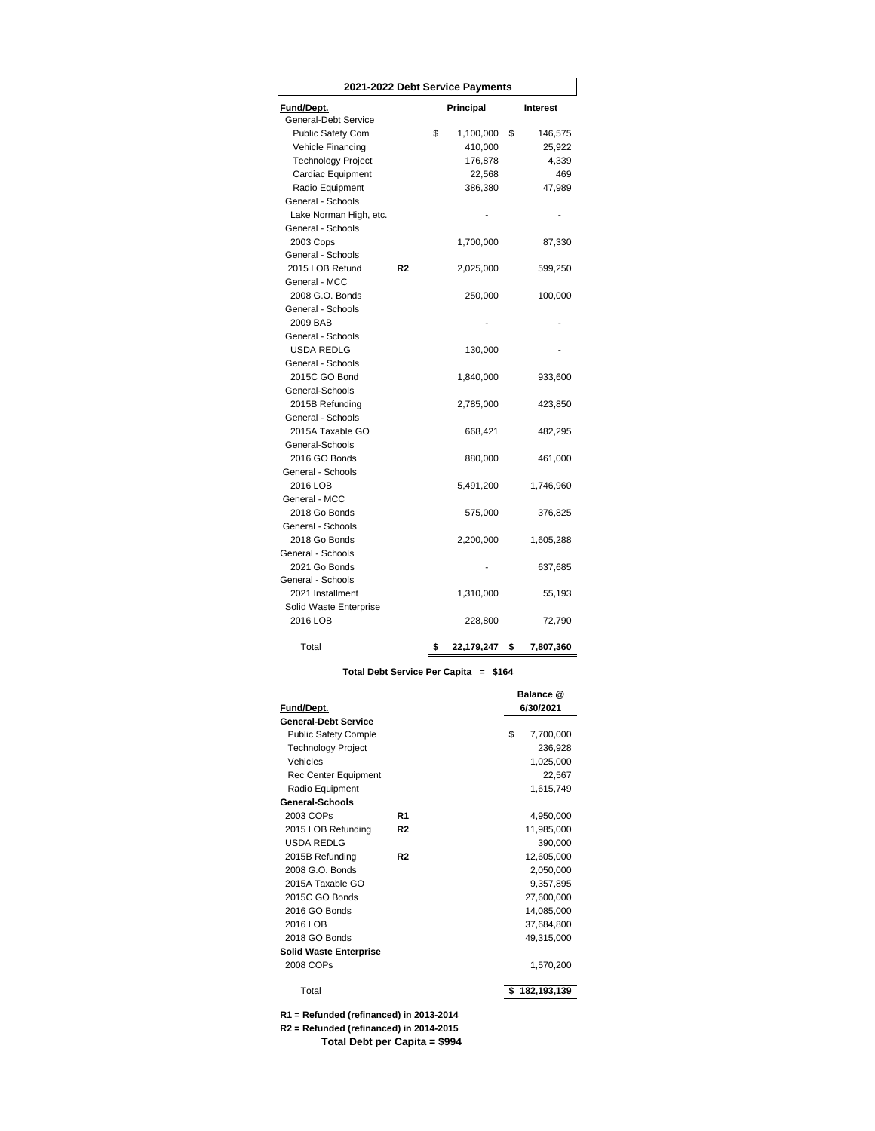| 2021-2022 Debt Service Payments |    |    |            |                 |
|---------------------------------|----|----|------------|-----------------|
| Fund/Dept.                      |    |    | Principal  | <b>Interest</b> |
| General-Debt Service            |    |    |            |                 |
| <b>Public Safety Com</b>        |    | \$ | 1,100,000  | \$<br>146,575   |
| Vehicle Financing               |    |    | 410,000    | 25,922          |
| <b>Technology Project</b>       |    |    | 176,878    | 4,339           |
| Cardiac Equipment               |    |    | 22,568     | 469             |
| Radio Equipment                 |    |    | 386,380    | 47,989          |
| General - Schools               |    |    |            |                 |
| Lake Norman High, etc.          |    |    |            |                 |
| General - Schools               |    |    |            |                 |
| 2003 Cops                       |    |    | 1,700,000  | 87,330          |
| General - Schools               |    |    |            |                 |
| 2015 LOB Refund                 | R2 |    | 2,025,000  | 599,250         |
| General - MCC                   |    |    |            |                 |
| 2008 G.O. Bonds                 |    |    | 250,000    | 100,000         |
| General - Schools               |    |    |            |                 |
| 2009 BAB                        |    |    |            |                 |
| General - Schools               |    |    |            |                 |
| <b>USDA REDLG</b>               |    |    | 130,000    |                 |
| General - Schools               |    |    |            |                 |
| 2015C GO Bond                   |    |    | 1,840,000  | 933,600         |
| General-Schools                 |    |    |            |                 |
| 2015B Refunding                 |    |    | 2,785,000  | 423,850         |
| General - Schools               |    |    |            |                 |
| 2015A Taxable GO                |    |    | 668,421    | 482,295         |
| General-Schools                 |    |    |            |                 |
| 2016 GO Bonds                   |    |    | 880,000    | 461,000         |
| General - Schools               |    |    |            |                 |
| 2016 LOB                        |    |    | 5,491,200  | 1,746,960       |
| General - MCC                   |    |    |            |                 |
| 2018 Go Bonds                   |    |    | 575,000    | 376,825         |
| General - Schools               |    |    |            |                 |
| 2018 Go Bonds                   |    |    | 2,200,000  | 1,605,288       |
| General - Schools               |    |    |            |                 |
| 2021 Go Bonds                   |    |    |            | 637,685         |
| General - Schools               |    |    |            |                 |
| 2021 Installment                |    |    | 1,310,000  | 55,193          |
| Solid Waste Enterprise          |    |    |            |                 |
| 2016 LOB                        |    |    | 228,800    | 72,790          |
| Total                           |    | \$ | 22,179,247 | \$<br>7,807,360 |

### **Total Debt Service Per Capita = \$164**

| Fund/Dept.                    |                | Balance @<br>6/30/2021 |
|-------------------------------|----------------|------------------------|
| <b>General-Debt Service</b>   |                |                        |
| <b>Public Safety Comple</b>   |                | \$<br>7,700,000        |
| <b>Technology Project</b>     |                | 236,928                |
| Vehicles                      |                | 1,025,000              |
| Rec Center Equipment          |                | 22,567                 |
| Radio Equipment               |                | 1,615,749              |
| General-Schools               |                |                        |
| 2003 COPs                     | R <sub>1</sub> | 4,950,000              |
| 2015 LOB Refunding            | R <sub>2</sub> | 11,985,000             |
| USDA REDLG                    |                | 390,000                |
| 2015B Refunding               | R <sub>2</sub> | 12,605,000             |
| 2008 G.O. Bonds               |                | 2,050,000              |
| 2015A Taxable GO              |                | 9,357,895              |
| 2015C GO Bonds                |                | 27,600,000             |
| 2016 GO Bonds                 |                | 14,085,000             |
| 2016 LOB                      |                | 37,684,800             |
| 2018 GO Bonds                 |                | 49,315,000             |
| <b>Solid Waste Enterprise</b> |                |                        |
| 2008 COPs                     |                | 1,570,200              |
| Total                         |                | 182,193,139            |

**R1 = Refunded (refinanced) in 2013-2014 R2 = Refunded (refinanced) in 2014-2015 Total Debt per Capita = \$994**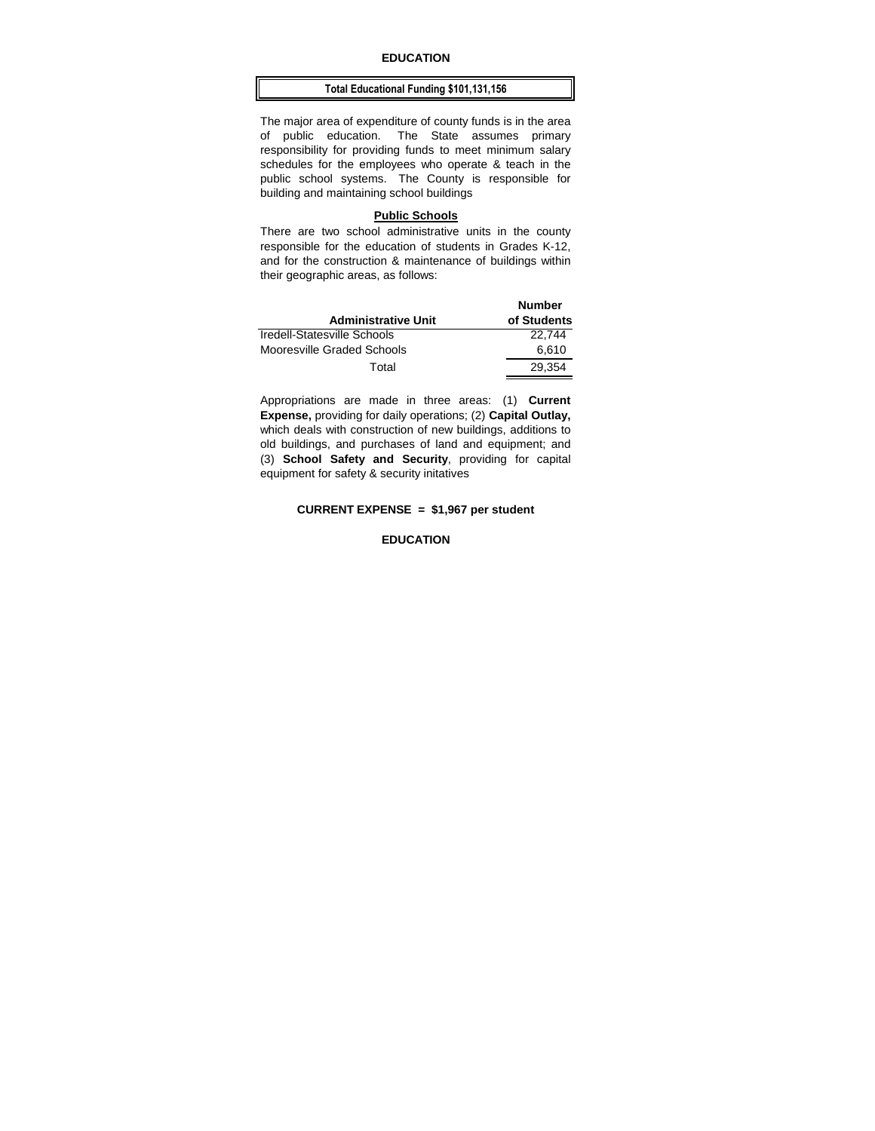## **EDUCATION**

### **Total Educational Funding \$101,131,156**

The major area of expenditure of county funds is in the area of public education. The State assumes primary responsibility for providing funds to meet minimum salary schedules for the employees who operate & teach in the public school systems. The County is responsible for building and maintaining school buildings

### **Public Schools**

There are two school administrative units in the county responsible for the education of students in Grades K-12, and for the construction & maintenance of buildings within their geographic areas, as follows:

| <b>Administrative Unit</b>  | <b>Number</b><br>of Students |
|-----------------------------|------------------------------|
| Iredell-Statesville Schools | 22.744                       |
| Mooresville Graded Schools  | 6.610                        |
| Total                       | 29.354                       |

Appropriations are made in three areas: (1) **Current Expense,** providing for daily operations; (2) **Capital Outlay,**  which deals with construction of new buildings, additions to old buildings, and purchases of land and equipment; and (3) **School Safety and Security**, providing for capital equipment for safety & security initatives

## **CURRENT EXPENSE = \$1,967 per student**

### **EDUCATION**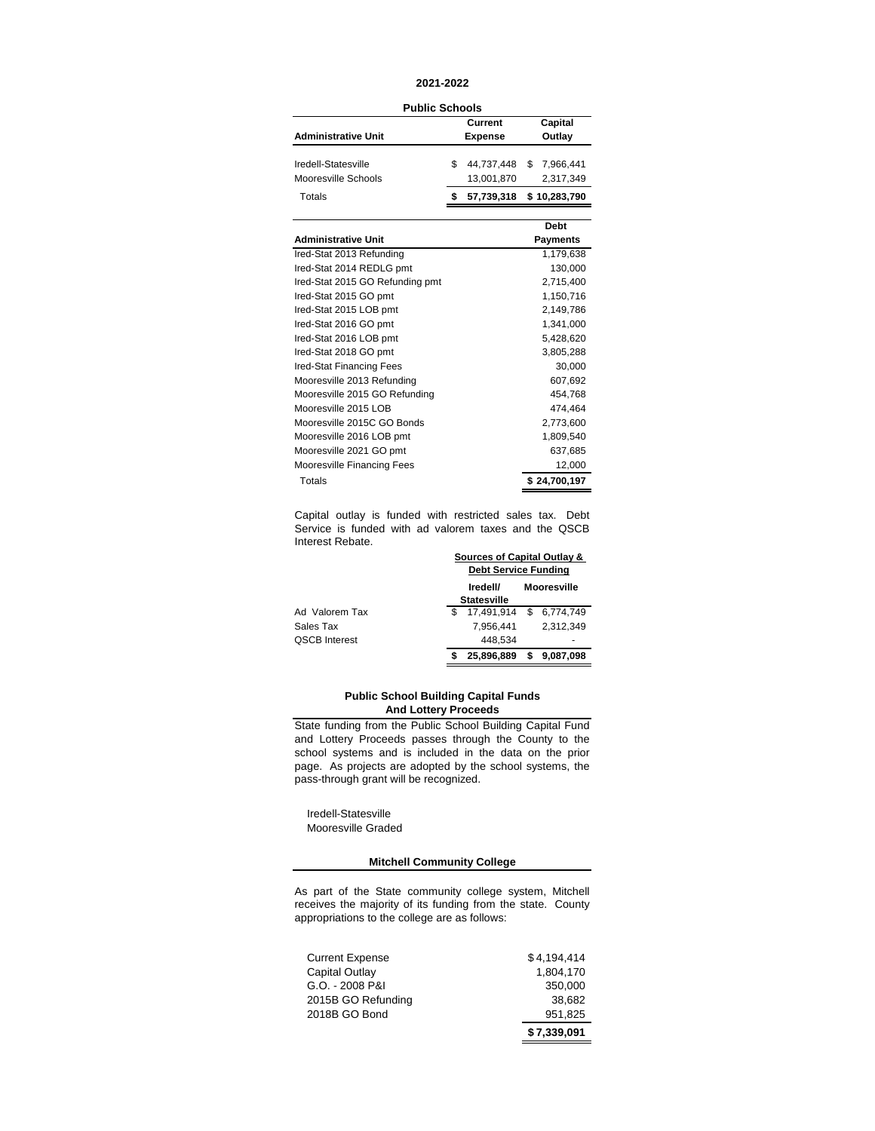### **2021-2022**

**Public Schools**

|                            | נוטטווט שטוועט |                |              |
|----------------------------|----------------|----------------|--------------|
|                            |                | Current        | Capital      |
| <b>Administrative Unit</b> |                | <b>Expense</b> | Outlay       |
|                            |                |                |              |
| Iredell-Statesville        | \$             | 44,737,448     | \$7,966,441  |
| Mooresville Schools        |                | 13,001,870     | 2,317,349    |
| Totals                     |                | 57,739,318     | \$10,283,790 |
|                            |                |                |              |
|                            |                |                | Debt         |
| <b>Administrative Unit</b> |                |                | Payments     |
|                            |                |                |              |

| Auninistrative Unit             | ı ayıncın ə  |
|---------------------------------|--------------|
| Ired-Stat 2013 Refunding        | 1,179,638    |
| Ired-Stat 2014 REDLG pmt        | 130,000      |
| Ired-Stat 2015 GO Refunding pmt | 2,715,400    |
| Ired-Stat 2015 GO pmt           | 1,150,716    |
| Ired-Stat 2015 LOB pmt          | 2,149,786    |
| Ired-Stat 2016 GO pmt           | 1,341,000    |
| Ired-Stat 2016 LOB pmt          | 5,428,620    |
| Ired-Stat 2018 GO pmt           | 3,805,288    |
| Ired-Stat Financing Fees        | 30,000       |
| Mooresville 2013 Refunding      | 607,692      |
| Mooresville 2015 GO Refunding   | 454,768      |
| Mooresville 2015 LOB            | 474,464      |
| Mooresville 2015C GO Bonds      | 2,773,600    |
| Mooresville 2016 LOB pmt        | 1,809,540    |
| Mooresville 2021 GO pmt         | 637,685      |
| Mooresville Financing Fees      | 12,000       |
| Totals                          | \$24,700,197 |

Capital outlay is funded with restricted sales tax. Debt Service is funded with ad valorem taxes and the QSCB Interest Rebate. **Sources of Capital Outlay &** 

|                      | Sources of Capital Outlay &<br><b>Debt Service Funding</b> |   |                    |
|----------------------|------------------------------------------------------------|---|--------------------|
|                      | Iredell/<br><b>Statesville</b>                             |   | <b>Mooresville</b> |
| Ad Valorem Tax       | 17.491.914 \$ 6.774.749                                    |   |                    |
| Sales Tax            | 7.956.441                                                  |   | 2.312.349          |
| <b>QSCB Interest</b> | 448.534                                                    |   |                    |
|                      | 25.896.889                                                 | S | 9,087,098          |

### **Public School Building Capital Funds And Lottery Proceeds**

State funding from the Public School Building Capital Fund and Lottery Proceeds passes through the County to the school systems and is included in the data on the prior page. As projects are adopted by the school systems, the pass-through grant will be recognized.

 Iredell-Statesville Mooresville Graded

## **Mitchell Community College**

As part of the State community college system, Mitchell receives the majority of its funding from the state. County appropriations to the college are as follows:

| <b>Current Expense</b> | \$4.194.414 |
|------------------------|-------------|
| Capital Outlay         | 1.804.170   |
| G.O. - 2008 P&I        | 350.000     |
| 2015B GO Refunding     | 38.682      |
| 2018B GO Bond          | 951,825     |
|                        | \$7,339,091 |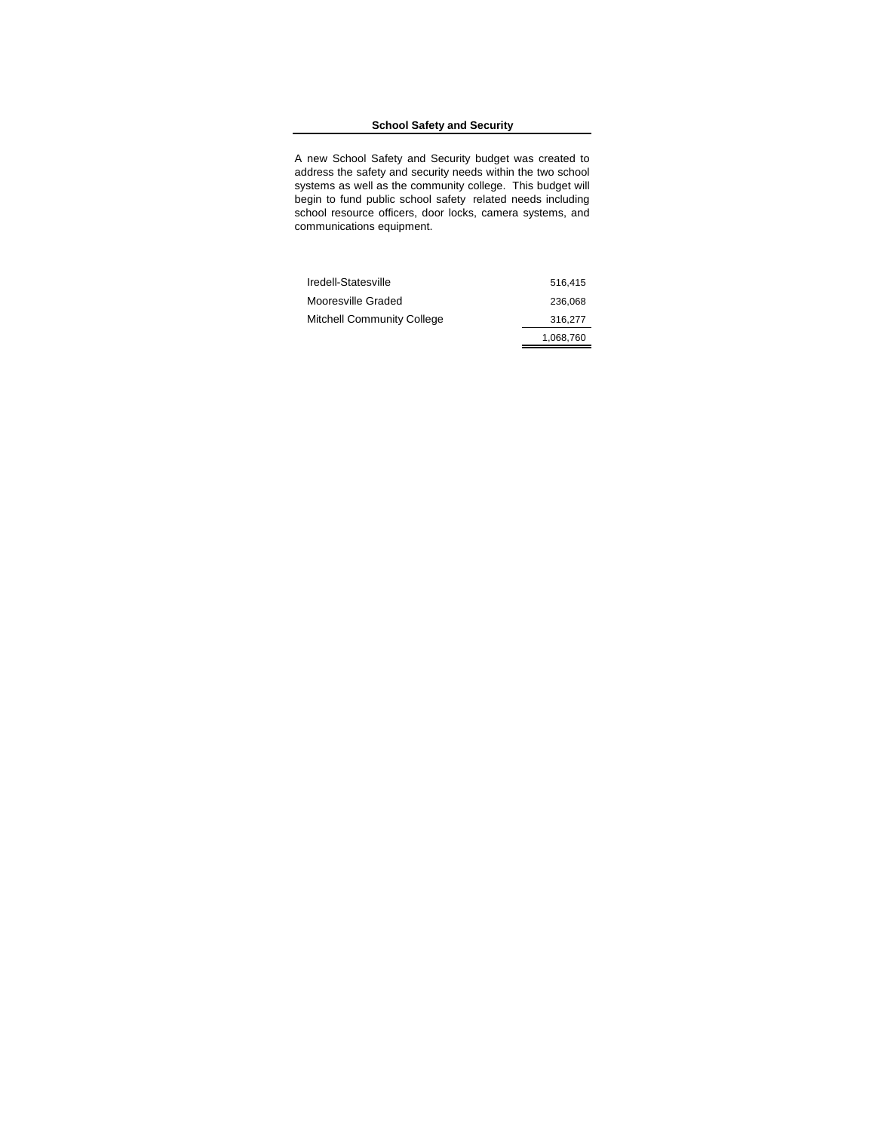## **School Safety and Security**

A new School Safety and Security budget was created to address the safety and security needs within the two school systems as well as the community college. This budget will begin to fund public school safety related needs including school resource officers, door locks, camera systems, and communications equipment.

| Iredell-Statesville               | 516,415   |
|-----------------------------------|-----------|
| Mooresville Graded                | 236,068   |
| <b>Mitchell Community College</b> | 316.277   |
|                                   | 1,068,760 |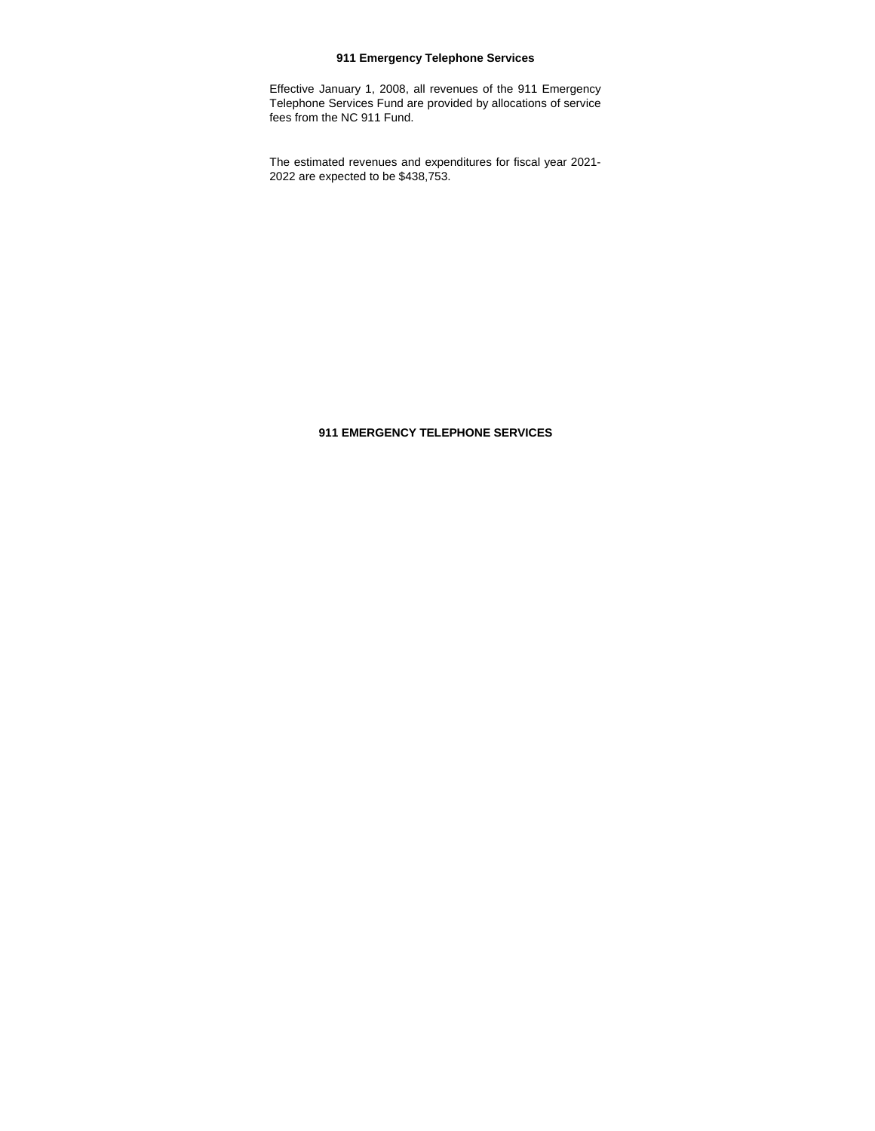# **911 Emergency Telephone Services**

Effective January 1, 2008, all revenues of the 911 Emergency Telephone Services Fund are provided by allocations of service fees from the NC 911 Fund.

The estimated revenues and expenditures for fiscal year 2021- 2022 are expected to be \$438,753.

# **911 EMERGENCY TELEPHONE SERVICES**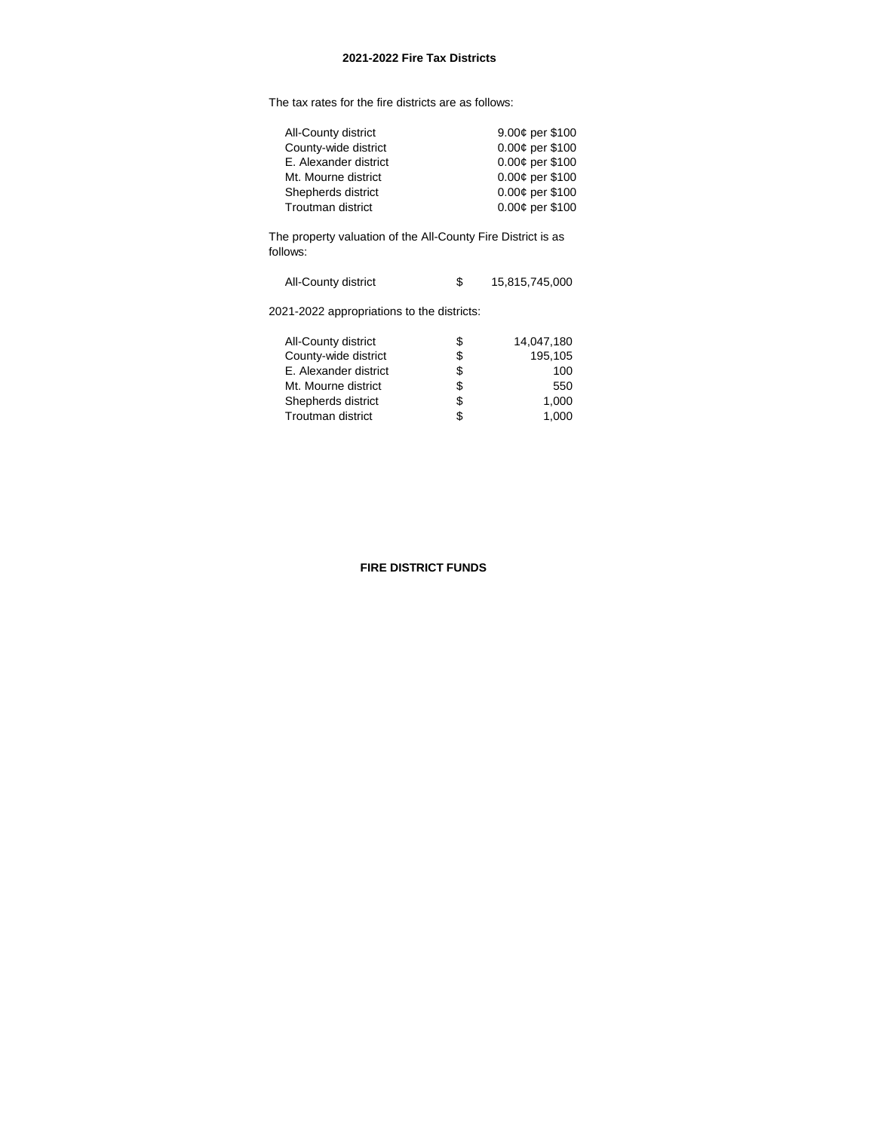The tax rates for the fire districts are as follows:

| 9.00¢ per \$100   |
|-------------------|
| 0.00¢ per \$100   |
| 0.00¢ per \$100   |
| 0.00¢ per \$100   |
| $0.00¢$ per \$100 |
| 0.00¢ per \$100   |
|                   |

The property valuation of the All-County Fire District is as follows:

| All-County district |  | 15,815,745,000 |
|---------------------|--|----------------|
|---------------------|--|----------------|

2021-2022 appropriations to the districts:

| All-County district      | S  | 14,047,180 |
|--------------------------|----|------------|
| County-wide district     | \$ | 195,105    |
| E. Alexander district    | S  | 100        |
| Mt. Mourne district      | S  | 550        |
| Shepherds district       | S  | 1.000      |
| <b>Troutman district</b> | S  | 1.000      |
|                          |    |            |

# **FIRE DISTRICT FUNDS**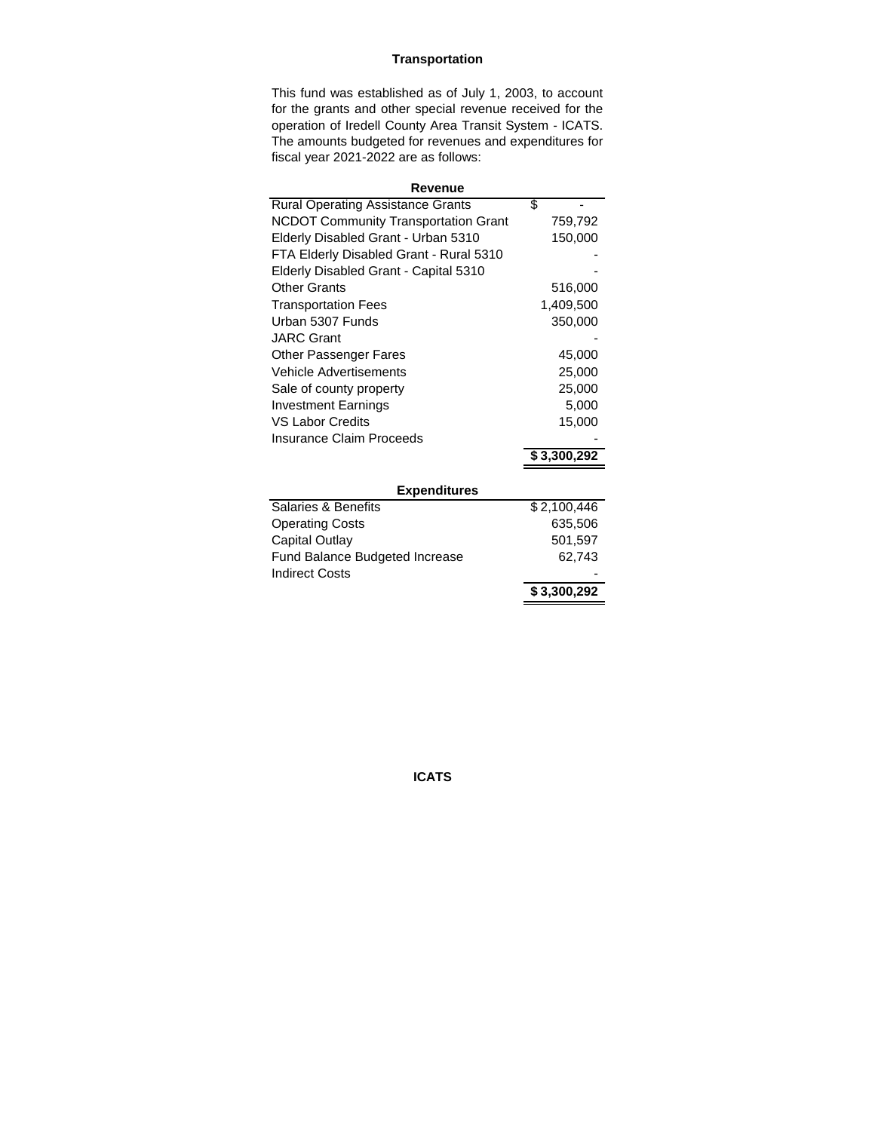# **Transportation**

This fund was established as of July 1, 2003, to account for the grants and other special revenue received for the operation of Iredell County Area Transit System - ICATS. The amounts budgeted for revenues and expenditures for fiscal year 2021-2022 are as follows:

| Revenue                                     |             |  |  |  |
|---------------------------------------------|-------------|--|--|--|
| <b>Rural Operating Assistance Grants</b>    | \$          |  |  |  |
| <b>NCDOT Community Transportation Grant</b> | 759,792     |  |  |  |
| Elderly Disabled Grant - Urban 5310         | 150,000     |  |  |  |
| FTA Elderly Disabled Grant - Rural 5310     |             |  |  |  |
| Elderly Disabled Grant - Capital 5310       |             |  |  |  |
| Other Grants                                | 516,000     |  |  |  |
| <b>Transportation Fees</b>                  | 1,409,500   |  |  |  |
| Urban 5307 Funds                            | 350,000     |  |  |  |
| <b>JARC Grant</b>                           |             |  |  |  |
| <b>Other Passenger Fares</b>                | 45,000      |  |  |  |
| Vehicle Advertisements                      | 25,000      |  |  |  |
| Sale of county property                     | 25,000      |  |  |  |
| <b>Investment Earnings</b>                  | 5,000       |  |  |  |
| <b>VS Labor Credits</b>                     | 15,000      |  |  |  |
| Insurance Claim Proceeds                    |             |  |  |  |
|                                             | \$3,300,292 |  |  |  |
|                                             |             |  |  |  |
| <b>Expenditures</b>                         |             |  |  |  |
| Salaries & Benefits                         | \$2,100,446 |  |  |  |
| <b>Operating Costs</b>                      | 635,506     |  |  |  |
| Capital Outlay                              | 501,597     |  |  |  |
| Fund Balance Budgeted Increase              | 62,743      |  |  |  |
| <b>Indirect Costs</b>                       |             |  |  |  |
|                                             | \$3,300,292 |  |  |  |

**ICATS**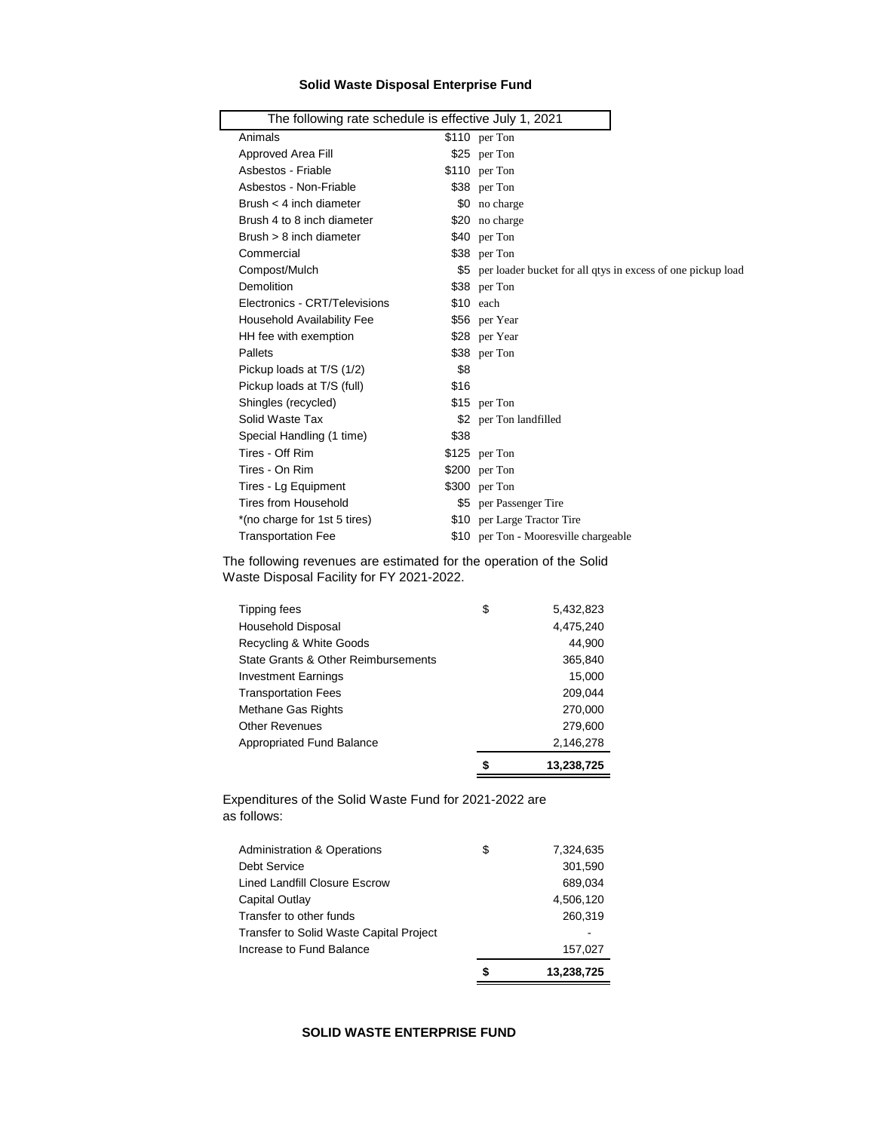# **Solid Waste Disposal Enterprise Fund**

| The following rate schedule is effective July 1, 2021 |      |                                                                 |
|-------------------------------------------------------|------|-----------------------------------------------------------------|
| Animals                                               |      | $$110$ per Ton                                                  |
| Approved Area Fill                                    |      | \$25 per Ton                                                    |
| Asbestos - Friable                                    |      | $$110$ per Ton                                                  |
| Asbestos - Non-Friable                                |      | \$38 per Ton                                                    |
| Brush $<$ 4 inch diameter                             |      | \$0 no charge                                                   |
| Brush 4 to 8 inch diameter                            |      | \$20 no charge                                                  |
| Brush $> 8$ inch diameter                             |      | \$40 per Ton                                                    |
| Commercial                                            |      | \$38 per Ton                                                    |
| Compost/Mulch                                         |      | \$5 per loader bucket for all qtys in excess of one pickup load |
| Demolition                                            |      | \$38 per Ton                                                    |
| Electronics - CRT/Televisions                         |      | $$10$ each                                                      |
| <b>Household Availability Fee</b>                     |      | \$56 per Year                                                   |
| HH fee with exemption                                 |      | \$28 per Year                                                   |
| Pallets                                               |      | \$38 per Ton                                                    |
| Pickup loads at T/S (1/2)                             | \$8  |                                                                 |
| Pickup loads at T/S (full)                            | \$16 |                                                                 |
| Shingles (recycled)                                   |      | \$15 per Ton                                                    |
| Solid Waste Tax                                       |      | \$2 per Ton landfilled                                          |
| Special Handling (1 time)                             | \$38 |                                                                 |
| Tires - Off Rim                                       |      | $$125$ per Ton                                                  |
| Tires - On Rim                                        |      | $$200$ per Ton                                                  |
| Tires - Lg Equipment                                  |      | $$300$ per Ton                                                  |
| Tires from Household                                  |      | \$5 per Passenger Tire                                          |
| *(no charge for 1st 5 tires)                          |      | \$10 per Large Tractor Tire                                     |
| <b>Transportation Fee</b>                             |      | \$10 per Ton - Mooresville chargeable                           |
|                                                       |      |                                                                 |

The following revenues are estimated for the operation of the Solid Waste Disposal Facility for FY 2021-2022.

| Tipping fees                        | \$ | 5.432.823  |
|-------------------------------------|----|------------|
| <b>Household Disposal</b>           |    | 4,475,240  |
| Recycling & White Goods             |    | 44,900     |
| State Grants & Other Reimbursements |    | 365,840    |
| <b>Investment Earnings</b>          |    | 15,000     |
| <b>Transportation Fees</b>          |    | 209,044    |
| Methane Gas Rights                  |    | 270,000    |
| <b>Other Revenues</b>               |    | 279,600    |
| <b>Appropriated Fund Balance</b>    |    | 2,146,278  |
|                                     | S  | 13.238.725 |

Expenditures of the Solid Waste Fund for 2021-2022 are as follows:

|                                                | S  | 13,238,725 |
|------------------------------------------------|----|------------|
| Increase to Fund Balance                       |    | 157,027    |
| <b>Transfer to Solid Waste Capital Project</b> |    |            |
| Transfer to other funds                        |    | 260,319    |
| Capital Outlay                                 |    | 4,506,120  |
| Lined Landfill Closure Escrow                  |    | 689,034    |
| Debt Service                                   |    | 301,590    |
| <b>Administration &amp; Operations</b>         | \$ | 7,324,635  |

## **SOLID WASTE ENTERPRISE FUND**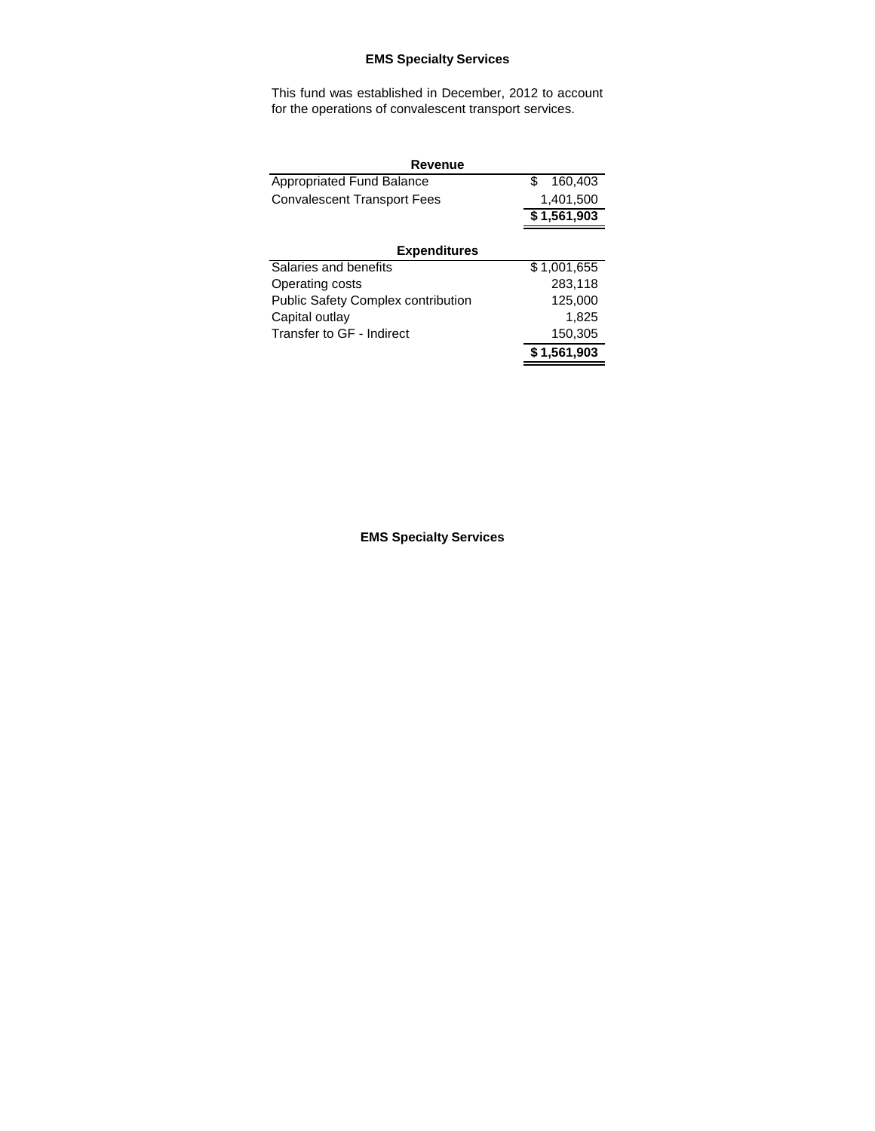# **EMS Specialty Services**

This fund was established in December, 2012 to account for the operations of convalescent transport services.

| Revenue                                   |                |  |  |
|-------------------------------------------|----------------|--|--|
| <b>Appropriated Fund Balance</b>          | 160,403<br>\$. |  |  |
| <b>Convalescent Transport Fees</b>        | 1,401,500      |  |  |
|                                           | \$1,561,903    |  |  |
|                                           |                |  |  |
| <b>Expenditures</b>                       |                |  |  |
| Salaries and benefits                     | \$1,001,655    |  |  |
| Operating costs                           | 283,118        |  |  |
| <b>Public Safety Complex contribution</b> | 125,000        |  |  |
| Capital outlay                            | 1,825          |  |  |
| Transfer to GF - Indirect                 | 150,305        |  |  |
|                                           | \$1,561,903    |  |  |

**EMS Specialty Services**